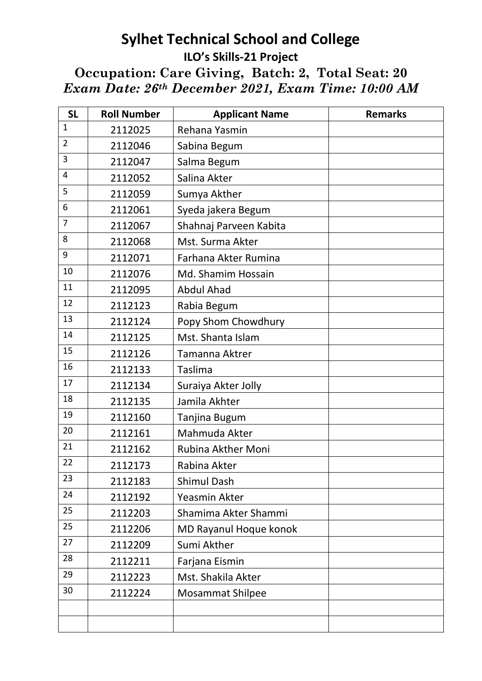## **Sylhet Technical School and College ILO's Skills-21 Project**

**Occupation: Care Giving, Batch: 2, Total Seat: 20**  *Exam Date: 26th December 2021, Exam Time: 10:00 AM*

| <b>SL</b>      | <b>Roll Number</b> | <b>Applicant Name</b>     | <b>Remarks</b> |
|----------------|--------------------|---------------------------|----------------|
| 1              | 2112025            | Rehana Yasmin             |                |
| $\overline{2}$ | 2112046            | Sabina Begum              |                |
| 3              | 2112047            | Salma Begum               |                |
| 4              | 2112052            | Salina Akter              |                |
| 5              | 2112059            | Sumya Akther              |                |
| 6              | 2112061            | Syeda jakera Begum        |                |
| $\overline{7}$ | 2112067            | Shahnaj Parveen Kabita    |                |
| 8              | 2112068            | Mst. Surma Akter          |                |
| 9              | 2112071            | Farhana Akter Rumina      |                |
| 10             | 2112076            | Md. Shamim Hossain        |                |
| 11             | 2112095            | <b>Abdul Ahad</b>         |                |
| 12             | 2112123            | Rabia Begum               |                |
| 13             | 2112124            | Popy Shom Chowdhury       |                |
| 14             | 2112125            | Mst. Shanta Islam         |                |
| 15             | 2112126            | Tamanna Aktrer            |                |
| 16             | 2112133            | Taslima                   |                |
| 17             | 2112134            | Suraiya Akter Jolly       |                |
| 18             | 2112135            | Jamila Akhter             |                |
| 19             | 2112160            | Tanjina Bugum             |                |
| 20             | 2112161            | Mahmuda Akter             |                |
| 21             | 2112162            | <b>Rubina Akther Moni</b> |                |
| 22             | 2112173            | Rabina Akter              |                |
| 23             | 2112183            | <b>Shimul Dash</b>        |                |
| 24             | 2112192            | Yeasmin Akter             |                |
| 25             | 2112203            | Shamima Akter Shammi      |                |
| 25             | 2112206            | MD Rayanul Hoque konok    |                |
| 27             | 2112209            | Sumi Akther               |                |
| 28             | 2112211            | Farjana Eismin            |                |
| 29             | 2112223            | Mst. Shakila Akter        |                |
| 30             | 2112224            | <b>Mosammat Shilpee</b>   |                |
|                |                    |                           |                |
|                |                    |                           |                |